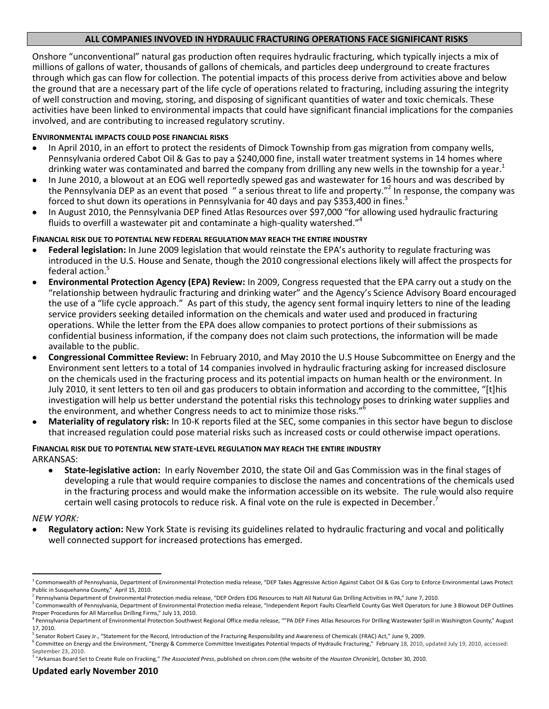# **ALL COMPANIES INVOVED IN HYDRAULIC FRACTURING OPERATIONS FACE SIGNIFICANT RISKS**

Onshore "unconventional" natural gas production often requires hydraulic fracturing, which typically injects a mix of millions of gallons of water, thousands of gallons of chemicals, and particles deep underground to create fractures through which gas can flow for collection. The potential impacts of this process derive from activities above and below the ground that are a necessary part of the life cycle of operations related to fracturing, including assuring the integrity of well construction and moving, storing, and disposing of significant quantities of water and toxic chemicals. These activities have been linked to environmental impacts that could have significant financial implications for the companies involved, and are contributing to increased regulatory scrutiny.

#### **ENVIRONMENTAL IMPACTS COULD POSE FINANCIAL RISKS**

- In April 2010, in an effort to protect the residents of Dimock Township from gas migration from company wells, Pennsylvania ordered Cabot Oil & Gas to pay a \$240,000 fine, install water treatment systems in 14 homes where drinking water was contaminated and barred the company from drilling any new wells in the township for a year.<sup>1</sup>
- In June 2010, a blowout at an EOG well reportedly spewed gas and wastewater for 16 hours and was described by the Pennsylvania DEP as an event that posed " a serious threat to life and property."<sup>2</sup> In response, the company was forced to shut down its operations in Pennsylvania for 40 days and pay \$353,400 in fines.<sup>3</sup>
- In August 2010, the Pennsylvania DEP fined Atlas Resources over \$97,000 "for allowing used hydraulic fracturing fluids to overfill a wastewater pit and contaminate a high-quality watershed."<sup>4</sup>

## **FINANCIAL RISK DUE TO POTENTIAL NEW FEDERAL REGULATION MAY REACH THE ENTIRE INDUSTRY**

- **Federal legislation:** In June 2009 legislation that would reinstate the EPA's authority to regulate fracturing was introduced in the U.S. House and Senate, though the 2010 congressional elections likely will affect the prospects for federal action. 5
- **Environmental Protection Agency (EPA) Review:** In 2009, Congress requested that the EPA carry out a study on the "relationship between hydraulic fracturing and drinking water" and the Agency's Science Advisory Board encouraged the use of a "life cycle approach." As part of this study, the agency sent formal inquiry letters to nine of the leading service providers seeking detailed information on the chemicals and water used and produced in fracturing operations. While the letter from the EPA does allow companies to protect portions of their submissions as confidential business information, if the company does not claim such protections, the information will be made available to the public.
- **Congressional Committee Review:** In February 2010, and May 2010 the U.S House Subcommittee on Energy and the Environment sent letters to a total of 14 companies involved in hydraulic fracturing asking for increased disclosure on the chemicals used in the fracturing process and its potential impacts on human health or the environment. In July 2010, it sent letters to ten oil and gas producers to obtain information and according to the committee, "[t]his investigation will help us better understand the potential risks this technology poses to drinking water supplies and the environment, and whether Congress needs to act to minimize those risks."<sup>6</sup>
- **Materiality of regulatory risk:** In 10-K reports filed at the SEC, some companies in this sector have begun to disclose  $\bullet$ that increased regulation could pose material risks such as increased costs or could otherwise impact operations.

#### **FINANCIAL RISK DUE TO POTENTIAL NEW STATE-LEVEL REGULATION MAY REACH THE ENTIRE INDUSTRY** ARKANSAS:

**State-legislative action:** In early November 2010, the state Oil and Gas Commission was in the final stages of developing a rule that would require companies to disclose the names and concentrations of the chemicals used in the fracturing process and would make the information accessible on its website. The rule would also require certain well casing protocols to reduce risk. A final vote on the rule is expected in December.<sup>7</sup>

#### *NEW YORK:*

 $\overline{\phantom{a}}$ 

**Regulatory action:** New York State is revising its guidelines related to hydraulic fracturing and vocal and politically well connected support for increased protections has emerged.

<sup>&</sup>lt;sup>1</sup> Commonwealth of Pennsylvania, Department of Environmental Protection media release, "DEP Takes Aggressive Action Against Cabot Oil & Gas Corp to Enforce Environmental Laws Protect Public in Susquehanna County," April 15, 2010.

<sup>&</sup>lt;sup>2</sup> Pennsylvania Department of Environmental Protection media release, "DEP Orders EOG Resources to Halt All Natural Gas Drilling Activities in PA," June 7, 2010.

<sup>&</sup>lt;sup>3</sup> Commonwealth of Pennsylvania, Department of Environmental Protection media release, "Independent Report Faults Clearfield County Gas Well Operators for June 3 Blowout DEP Outlines Proper Procedures for All Marcellus Drilling Firms," July 13, 2010.

<sup>&</sup>lt;sup>4</sup> Pennsylvania Department of Environmental Protection Southwest Regional Office media release, ""PA DEP Fines Atlas Resources For Drilling Wastewater Spill in Washington County," August 17, 2010.

<sup>&</sup>lt;sup>5</sup> Senator Robert Casey Jr., "Statement for the Record, Introduction of the Fracturing Responsibility and Awareness of Chemicals (FRAC) Act," June 9, 2009.

<sup>&</sup>lt;sup>6</sup> Committee on Energy and the Environment, "[Energy & Commerce Committee Investigates Potential Impacts of Hydraulic Fracturing](http://energycommerce.house.gov/index.php?option=com_content&view=article&id=1896:energy-a-commerce-committee-investigates-potential-impacts-of-hydraulic-fracturing&catid=122:media-advisories&Itemid=55)," February 18, 2010, updated July 19, 2010, accessed: September 23, 2010.

<sup>7</sup> "Arkansas Board Set to Create Rule on Fracking," *The Associated Press*, published on chron.com (the website of the *Houston Chronicle*), October 30, 2010.